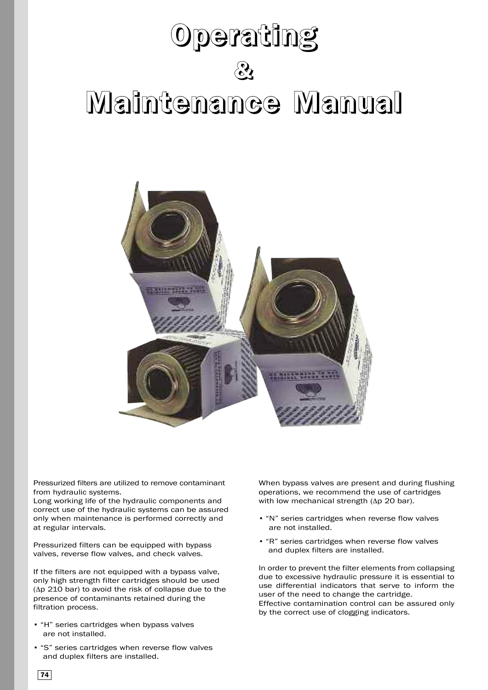# **Operating & Maintenance Manual**



Pressurized filters are utilized to remove contaminant from hydraulic systems.

Long working life of the hydraulic components and correct use of the hydraulic systems can be assured only when maintenance is performed correctly and at regular intervals.

Pressurized filters can be equipped with bypass valves, reverse flow valves, and check valves.

If the filters are not equipped with a bypass valve, only high strength filter cartridges should be used (Δp 210 bar) to avoid the risk of collapse due to the presence of contaminants retained during the filtration process.

- "H" series cartridges when bypass valves are not installed.
- "S" series cartridges when reverse flow valves and duplex filters are installed.

When bypass valves are present and during flushing operations, we recommend the use of cartridges with low mechanical strength (Δp 20 bar).

- "N" series cartridges when reverse flow valves are not installed.
- "R" series cartridges when reverse flow valves and duplex filters are installed.

In order to prevent the filter elements from collapsing due to excessive hydraulic pressure it is essential to use differential indicators that serve to inform the user of the need to change the cartridge. Effective contamination control can be assured only by the correct use of clogging indicators.

**74**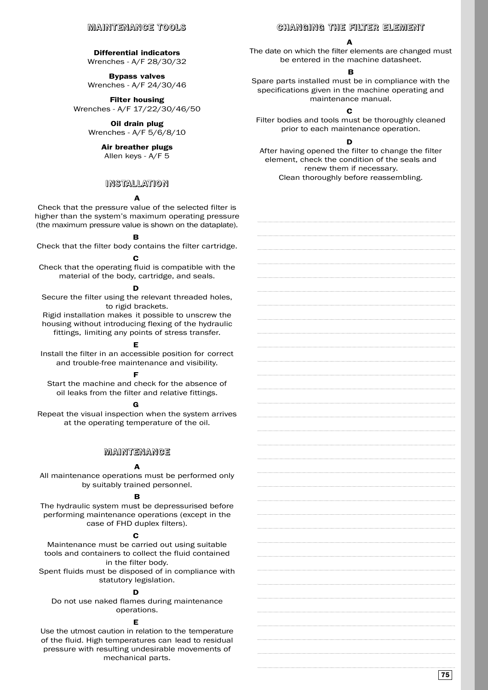## **MAINTENANCE TOOLS**

## **Differential indicators**

Wrenches - A/F 28/30/32

**Bypass valves** Wrenches - A/F 24/30/46

**Filter housing** Wrenches - A/F 17/22/30/46/50

> **Oil drain plug** Wrenches - A/F 5/6/8/10

#### **Air breather plugs** Allen keys - A/F 5

# **INSTALLATION**

# **A**

Check that the pressure value of the selected filter is higher than the system's maximum operating pressure (the maximum pressure value is shown on the dataplate).

### **B**

Check that the filter body contains the filter cartridge. **C**

Check that the operating fluid is compatible with the material of the body, cartridge, and seals.

#### **D**

Secure the filter using the relevant threaded holes, to rigid brackets.

Rigid installation makes it possible to unscrew the housing without introducing flexing of the hydraulic fittings, limiting any points of stress transfer.

# **E**

Install the filter in an accessible position for correct and trouble-free maintenance and visibility.

#### **F**

Start the machine and check for the absence of oil leaks from the filter and relative fittings.

# **G**

Repeat the visual inspection when the system arrives at the operating temperature of the oil.

## **MAINTENANCE**

## **A**

All maintenance operations must be performed only by suitably trained personnel.

# **B**

The hydraulic system must be depressurised before performing maintenance operations (except in the case of FHD duplex filters).

#### **C**

Maintenance must be carried out using suitable tools and containers to collect the fluid contained in the filter body.

Spent fluids must be disposed of in compliance with statutory legislation.

#### **D**

Do not use naked flames during maintenance operations.

#### **E**

Use the utmost caution in relation to the temperature of the fluid. High temperatures can lead to residual pressure with resulting undesirable movements of mechanical parts.

## **CHANGING THE FILTER ELEMENT**

#### **A**

The date on which the filter elements are changed must be entered in the machine datasheet.

## **B**

Spare parts installed must be in compliance with the specifications given in the machine operating and maintenance manual.

# **C**

Filter bodies and tools must be thoroughly cleaned prior to each maintenance operation.

# **D**

After having opened the filter to change the filter element, check the condition of the seals and renew them if necessary. Clean thoroughly before reassembling.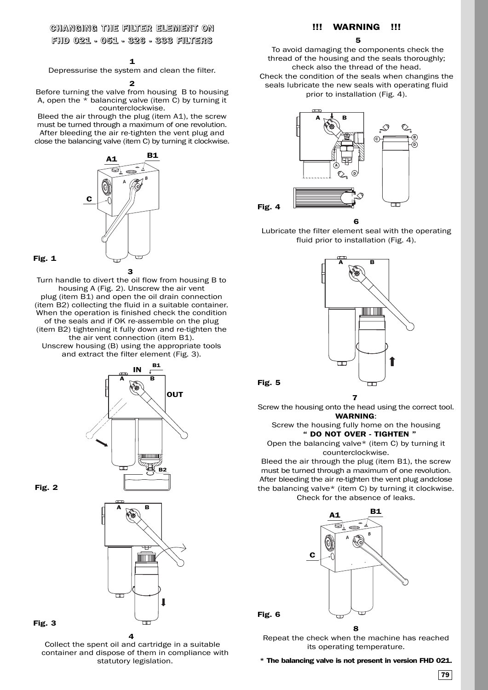# **CHANGING THE FILTER ELEMENT ON FHD 021 - 051 - 326 - 333 FILTERS**

Depressurise the system and clean the filter.

**2**

Before turning the valve from housing B to housing A, open the \* balancing valve (item C) by turning it counterclockwise.

Bleed the air through the plug (item A1), the screw must be turned through a maximum of one revolution. After bleeding the air re-tighten the vent plug and close the balancing valve (item C) by turning it clockwise.



**Fig. 1**

Turn handle to divert the oil flow from housing B to housing A (Fig. 2). Unscrew the air vent plug (item B1) and open the oil drain connection (item B2) collecting the fluid in a suitable container. When the operation is finished check the condition of the seals and if OK re-assemble on the plug (item B2) tightening it fully down and re-tighten the the air vent connection (item B1). Unscrew housing (B) using the appropriate tools and extract the filter element (Fig. 3).



**Fig. 2**



Collect the spent oil and cartridge in a suitable container and dispose of them in compliance with statutory legislation.

**4**

# **!!! WARNING !!!**

**5**

To avoid damaging the components check the thread of the housing and the seals thoroughly; check also the thread of the head. Check the condition of the seals when changins the seals lubricate the new seals with operating fluid prior to installation (Fig. 4).



Lubricate the filter element seal with the operating fluid prior to installation (Fig. 4).





**Fig. 6**

Screw the housing onto the head using the correct tool. **WARNING**:

Screw the housing fully home on the housing **" DO NOT OVER - TIGHTEN "**

Open the balancing valve\* (item C) by turning it counterclockwise.

Bleed the air through the plug (item B1), the screw must be turned through a maximum of one revolution. After bleeding the air re-tighten the vent plug andclose the balancing valve\* (item C) by turning it clockwise. Check for the absence of leaks.



**8**

Repeat the check when the machine has reached its operating temperature.

**\* The balancing valve is not present in version FHD 021.**

**<sup>1</sup>**